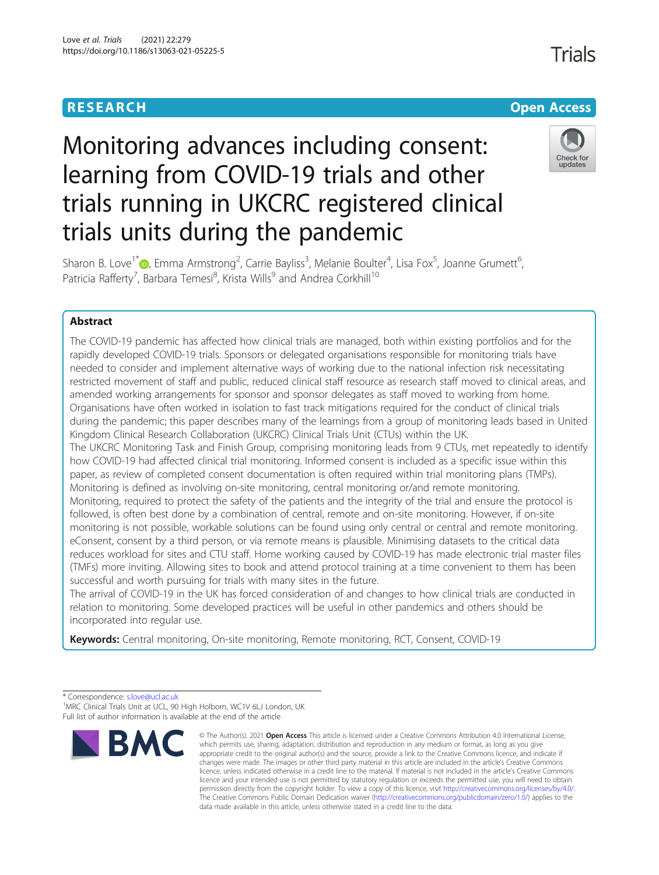

# Monitoring advances including consent: learning from COVID-19 trials and other trials running in UKCRC registered clinical trials units during the pandemic



Sharon B. Love<sup>1\*</sup>®[,](http://orcid.org/0000-0002-6695-5390) Emma Armstrong<sup>2</sup>, Carrie Bayliss<sup>3</sup>, Melanie Boulter<sup>4</sup>, Lisa Fox<sup>5</sup>, Joanne Grumett<sup>6</sup> , Patricia Rafferty<sup>7</sup>, Barbara Temesi<sup>8</sup>, Krista Wills<sup>9</sup> and Andrea Corkhill<sup>10</sup>

# Abstract

The COVID-19 pandemic has affected how clinical trials are managed, both within existing portfolios and for the rapidly developed COVID-19 trials. Sponsors or delegated organisations responsible for monitoring trials have needed to consider and implement alternative ways of working due to the national infection risk necessitating restricted movement of staff and public, reduced clinical staff resource as research staff moved to clinical areas, and amended working arrangements for sponsor and sponsor delegates as staff moved to working from home. Organisations have often worked in isolation to fast track mitigations required for the conduct of clinical trials during the pandemic; this paper describes many of the learnings from a group of monitoring leads based in United Kingdom Clinical Research Collaboration (UKCRC) Clinical Trials Unit (CTUs) within the UK. The UKCRC Monitoring Task and Finish Group, comprising monitoring leads from 9 CTUs, met repeatedly to identify how COVID-19 had affected clinical trial monitoring. Informed consent is included as a specific issue within this paper, as review of completed consent documentation is often required within trial monitoring plans (TMPs). Monitoring is defined as involving on-site monitoring, central monitoring or/and remote monitoring. Monitoring, required to protect the safety of the patients and the integrity of the trial and ensure the protocol is followed, is often best done by a combination of central, remote and on-site monitoring. However, if on-site monitoring is not possible, workable solutions can be found using only central or central and remote monitoring. eConsent, consent by a third person, or via remote means is plausible. Minimising datasets to the critical data reduces workload for sites and CTU staff. Home working caused by COVID-19 has made electronic trial master files (TMFs) more inviting. Allowing sites to book and attend protocol training at a time convenient to them has been successful and worth pursuing for trials with many sites in the future.

The arrival of COVID-19 in the UK has forced consideration of and changes to how clinical trials are conducted in relation to monitoring. Some developed practices will be useful in other pandemics and others should be incorporated into regular use.

Keywords: Central monitoring, On-site monitoring, Remote monitoring, RCT, Consent, COVID-19

\* Correspondence: [s.love@ucl.ac.uk](mailto:s.love@ucl.ac.uk) <sup>1</sup>

<sup>&</sup>lt;sup>1</sup>MRC Clinical Trials Unit at UCL, 90 High Holborn, WC1V 6LJ London, UK Full list of author information is available at the end of the article



<sup>©</sup> The Author(s), 2021 **Open Access** This article is licensed under a Creative Commons Attribution 4.0 International License, which permits use, sharing, adaptation, distribution and reproduction in any medium or format, as long as you give appropriate credit to the original author(s) and the source, provide a link to the Creative Commons licence, and indicate if changes were made. The images or other third party material in this article are included in the article's Creative Commons licence, unless indicated otherwise in a credit line to the material. If material is not included in the article's Creative Commons licence and your intended use is not permitted by statutory regulation or exceeds the permitted use, you will need to obtain permission directly from the copyright holder. To view a copy of this licence, visit [http://creativecommons.org/licenses/by/4.0/.](http://creativecommons.org/licenses/by/4.0/) The Creative Commons Public Domain Dedication waiver [\(http://creativecommons.org/publicdomain/zero/1.0/](http://creativecommons.org/publicdomain/zero/1.0/)) applies to the data made available in this article, unless otherwise stated in a credit line to the data.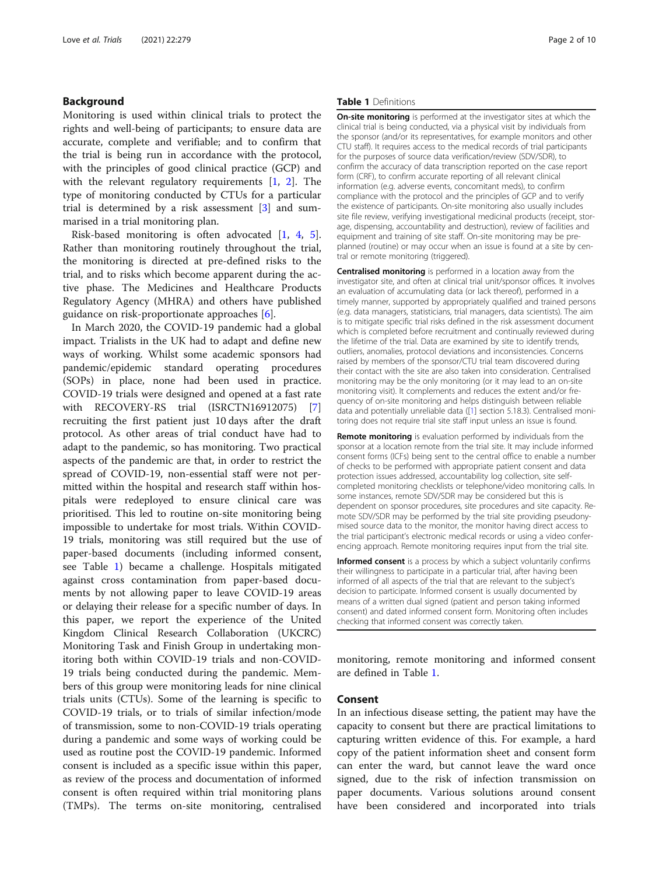# Background

Monitoring is used within clinical trials to protect the rights and well-being of participants; to ensure data are accurate, complete and verifiable; and to confirm that the trial is being run in accordance with the protocol, with the principles of good clinical practice (GCP) and with the relevant regulatory requirements [\[1,](#page-8-0) [2\]](#page-8-0). The type of monitoring conducted by CTUs for a particular trial is determined by a risk assessment [[3\]](#page-8-0) and summarised in a trial monitoring plan.

Risk-based monitoring is often advocated [[1,](#page-8-0) [4](#page-8-0), [5](#page-8-0)]. Rather than monitoring routinely throughout the trial, the monitoring is directed at pre-defined risks to the trial, and to risks which become apparent during the active phase. The Medicines and Healthcare Products Regulatory Agency (MHRA) and others have published guidance on risk-proportionate approaches [\[6](#page-8-0)].

In March 2020, the COVID-19 pandemic had a global impact. Trialists in the UK had to adapt and define new ways of working. Whilst some academic sponsors had pandemic/epidemic standard operating procedures (SOPs) in place, none had been used in practice. COVID-19 trials were designed and opened at a fast rate with RECOVERY-RS trial (ISRCTN16912075) [\[7](#page-8-0)] recruiting the first patient just 10 days after the draft protocol. As other areas of trial conduct have had to adapt to the pandemic, so has monitoring. Two practical aspects of the pandemic are that, in order to restrict the spread of COVID-19, non-essential staff were not permitted within the hospital and research staff within hospitals were redeployed to ensure clinical care was prioritised. This led to routine on-site monitoring being impossible to undertake for most trials. Within COVID-19 trials, monitoring was still required but the use of paper-based documents (including informed consent, see Table 1) became a challenge. Hospitals mitigated against cross contamination from paper-based documents by not allowing paper to leave COVID-19 areas or delaying their release for a specific number of days. In this paper, we report the experience of the United Kingdom Clinical Research Collaboration (UKCRC) Monitoring Task and Finish Group in undertaking monitoring both within COVID-19 trials and non-COVID-19 trials being conducted during the pandemic. Members of this group were monitoring leads for nine clinical trials units (CTUs). Some of the learning is specific to COVID-19 trials, or to trials of similar infection/mode of transmission, some to non-COVID-19 trials operating during a pandemic and some ways of working could be used as routine post the COVID-19 pandemic. Informed consent is included as a specific issue within this paper, as review of the process and documentation of informed consent is often required within trial monitoring plans (TMPs). The terms on-site monitoring, centralised

#### Table 1 Definitions

**On-site monitoring** is performed at the investigator sites at which the clinical trial is being conducted, via a physical visit by individuals from the sponsor (and/or its representatives, for example monitors and other CTU staff). It requires access to the medical records of trial participants for the purposes of source data verification/review (SDV/SDR), to confirm the accuracy of data transcription reported on the case report form (CRF), to confirm accurate reporting of all relevant clinical information (e.g. adverse events, concomitant meds), to confirm compliance with the protocol and the principles of GCP and to verify the existence of participants. On-site monitoring also usually includes site file review, verifying investigational medicinal products (receipt, storage, dispensing, accountability and destruction), review of facilities and equipment and training of site staff. On-site monitoring may be preplanned (routine) or may occur when an issue is found at a site by central or remote monitoring (triggered).

Centralised monitoring is performed in a location away from the investigator site, and often at clinical trial unit/sponsor offices. It involves an evaluation of accumulating data (or lack thereof), performed in a timely manner, supported by appropriately qualified and trained persons (e.g. data managers, statisticians, trial managers, data scientists). The aim is to mitigate specific trial risks defined in the risk assessment document which is completed before recruitment and continually reviewed during the lifetime of the trial. Data are examined by site to identify trends, outliers, anomalies, protocol deviations and inconsistencies. Concerns raised by members of the sponsor/CTU trial team discovered during their contact with the site are also taken into consideration. Centralised monitoring may be the only monitoring (or it may lead to an on-site monitoring visit). It complements and reduces the extent and/or frequency of on-site monitoring and helps distinguish between reliable data and potentially unreliable data ([\[1\]](#page-8-0) section 5.18.3). Centralised monitoring does not require trial site staff input unless an issue is found.

Remote monitoring is evaluation performed by individuals from the sponsor at a location remote from the trial site. It may include informed consent forms (ICFs) being sent to the central office to enable a number of checks to be performed with appropriate patient consent and data protection issues addressed, accountability log collection, site selfcompleted monitoring checklists or telephone/video monitoring calls. In some instances, remote SDV/SDR may be considered but this is dependent on sponsor procedures, site procedures and site capacity. Remote SDV/SDR may be performed by the trial site providing pseudonymised source data to the monitor, the monitor having direct access to the trial participant's electronic medical records or using a video conferencing approach. Remote monitoring requires input from the trial site.

Informed consent is a process by which a subject voluntarily confirms their willingness to participate in a particular trial, after having been informed of all aspects of the trial that are relevant to the subject's decision to participate. Informed consent is usually documented by means of a written dual signed (patient and person taking informed consent) and dated informed consent form. Monitoring often includes checking that informed consent was correctly taken.

monitoring, remote monitoring and informed consent are defined in Table 1.

# Consent

In an infectious disease setting, the patient may have the capacity to consent but there are practical limitations to capturing written evidence of this. For example, a hard copy of the patient information sheet and consent form can enter the ward, but cannot leave the ward once signed, due to the risk of infection transmission on paper documents. Various solutions around consent have been considered and incorporated into trials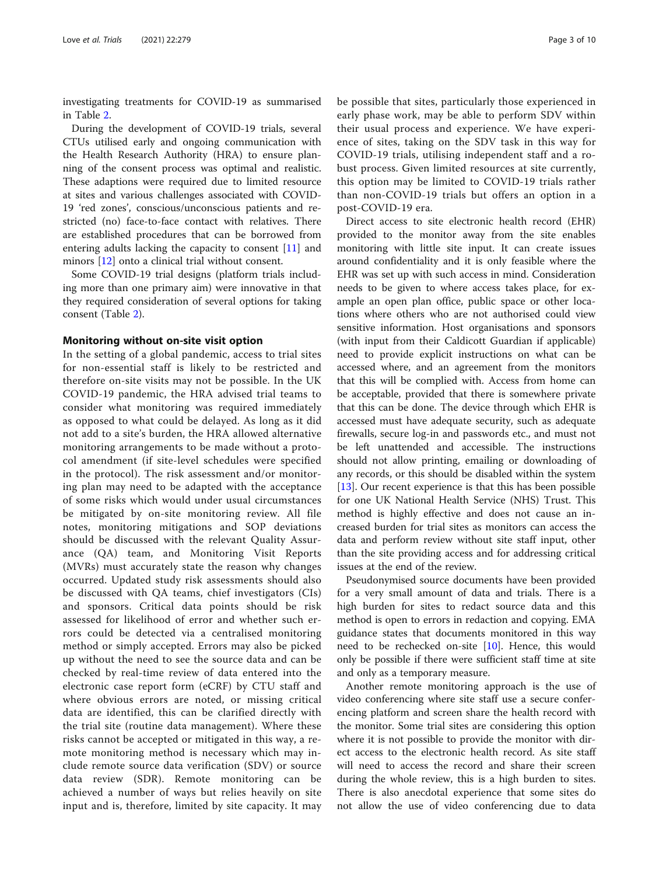investigating treatments for COVID-19 as summarised in Table [2](#page-3-0).

During the development of COVID-19 trials, several CTUs utilised early and ongoing communication with the Health Research Authority (HRA) to ensure planning of the consent process was optimal and realistic. These adaptions were required due to limited resource at sites and various challenges associated with COVID-19 'red zones', conscious/unconscious patients and restricted (no) face-to-face contact with relatives. There are established procedures that can be borrowed from entering adults lacking the capacity to consent [[11\]](#page-8-0) and minors [[12](#page-8-0)] onto a clinical trial without consent.

Some COVID-19 trial designs (platform trials including more than one primary aim) were innovative in that they required consideration of several options for taking consent (Table [2](#page-3-0)).

#### Monitoring without on-site visit option

In the setting of a global pandemic, access to trial sites for non-essential staff is likely to be restricted and therefore on-site visits may not be possible. In the UK COVID-19 pandemic, the HRA advised trial teams to consider what monitoring was required immediately as opposed to what could be delayed. As long as it did not add to a site's burden, the HRA allowed alternative monitoring arrangements to be made without a protocol amendment (if site-level schedules were specified in the protocol). The risk assessment and/or monitoring plan may need to be adapted with the acceptance of some risks which would under usual circumstances be mitigated by on-site monitoring review. All file notes, monitoring mitigations and SOP deviations should be discussed with the relevant Quality Assurance (QA) team, and Monitoring Visit Reports (MVRs) must accurately state the reason why changes occurred. Updated study risk assessments should also be discussed with QA teams, chief investigators (CIs) and sponsors. Critical data points should be risk assessed for likelihood of error and whether such errors could be detected via a centralised monitoring method or simply accepted. Errors may also be picked up without the need to see the source data and can be checked by real-time review of data entered into the electronic case report form (eCRF) by CTU staff and where obvious errors are noted, or missing critical data are identified, this can be clarified directly with the trial site (routine data management). Where these risks cannot be accepted or mitigated in this way, a remote monitoring method is necessary which may include remote source data verification (SDV) or source data review (SDR). Remote monitoring can be achieved a number of ways but relies heavily on site input and is, therefore, limited by site capacity. It may be possible that sites, particularly those experienced in early phase work, may be able to perform SDV within their usual process and experience. We have experience of sites, taking on the SDV task in this way for COVID-19 trials, utilising independent staff and a robust process. Given limited resources at site currently, this option may be limited to COVID-19 trials rather than non-COVID-19 trials but offers an option in a post-COVID-19 era.

Direct access to site electronic health record (EHR) provided to the monitor away from the site enables monitoring with little site input. It can create issues around confidentiality and it is only feasible where the EHR was set up with such access in mind. Consideration needs to be given to where access takes place, for example an open plan office, public space or other locations where others who are not authorised could view sensitive information. Host organisations and sponsors (with input from their Caldicott Guardian if applicable) need to provide explicit instructions on what can be accessed where, and an agreement from the monitors that this will be complied with. Access from home can be acceptable, provided that there is somewhere private that this can be done. The device through which EHR is accessed must have adequate security, such as adequate firewalls, secure log-in and passwords etc., and must not be left unattended and accessible. The instructions should not allow printing, emailing or downloading of any records, or this should be disabled within the system [[13\]](#page-8-0). Our recent experience is that this has been possible for one UK National Health Service (NHS) Trust. This method is highly effective and does not cause an increased burden for trial sites as monitors can access the data and perform review without site staff input, other than the site providing access and for addressing critical issues at the end of the review.

Pseudonymised source documents have been provided for a very small amount of data and trials. There is a high burden for sites to redact source data and this method is open to errors in redaction and copying. EMA guidance states that documents monitored in this way need to be rechecked on-site [[10\]](#page-8-0). Hence, this would only be possible if there were sufficient staff time at site and only as a temporary measure.

Another remote monitoring approach is the use of video conferencing where site staff use a secure conferencing platform and screen share the health record with the monitor. Some trial sites are considering this option where it is not possible to provide the monitor with direct access to the electronic health record. As site staff will need to access the record and share their screen during the whole review, this is a high burden to sites. There is also anecdotal experience that some sites do not allow the use of video conferencing due to data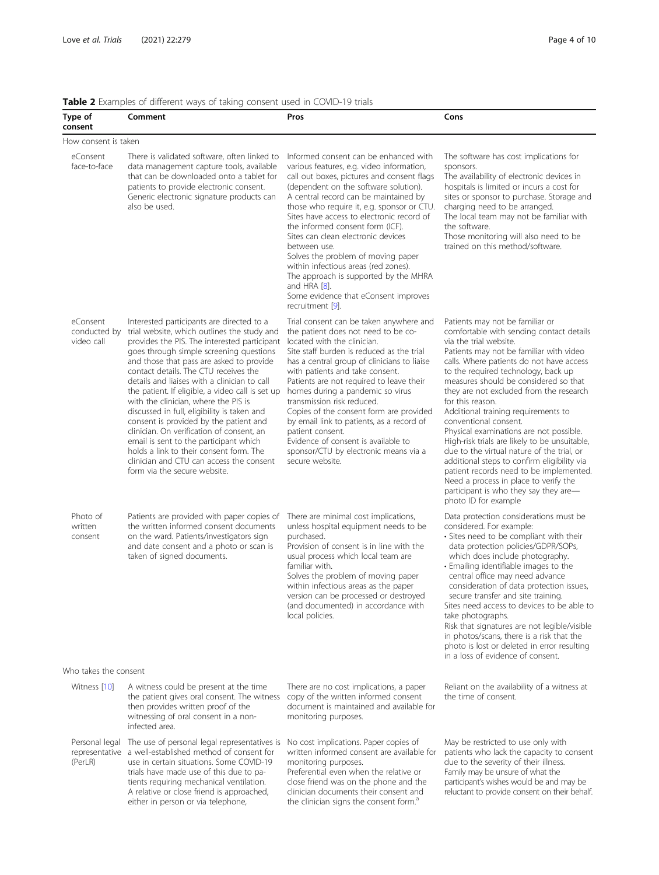<span id="page-3-0"></span>Table 2 Examples of different ways of taking consent used in COVID-19 trials

| Type of<br>consent                     | <b>TWORK</b> EXAMPLES OF UNICIDENT WAYS OF LANDING CONSCITE ASCALIFICO VIDENS LIBRIS<br>Comment                                                                                                                                                                                                                                                                                                                                                                                                                                                                                                                                                                                                                             | Pros                                                                                                                                                                                                                                                                                                                                                                                                                                                                                                                                                                                                       | Cons                                                                                                                                                                                                                                                                                                                                                                                                                                                                                                                                                                                                                                                                                                                                                      |  |  |
|----------------------------------------|-----------------------------------------------------------------------------------------------------------------------------------------------------------------------------------------------------------------------------------------------------------------------------------------------------------------------------------------------------------------------------------------------------------------------------------------------------------------------------------------------------------------------------------------------------------------------------------------------------------------------------------------------------------------------------------------------------------------------------|------------------------------------------------------------------------------------------------------------------------------------------------------------------------------------------------------------------------------------------------------------------------------------------------------------------------------------------------------------------------------------------------------------------------------------------------------------------------------------------------------------------------------------------------------------------------------------------------------------|-----------------------------------------------------------------------------------------------------------------------------------------------------------------------------------------------------------------------------------------------------------------------------------------------------------------------------------------------------------------------------------------------------------------------------------------------------------------------------------------------------------------------------------------------------------------------------------------------------------------------------------------------------------------------------------------------------------------------------------------------------------|--|--|
| How consent is taken                   |                                                                                                                                                                                                                                                                                                                                                                                                                                                                                                                                                                                                                                                                                                                             |                                                                                                                                                                                                                                                                                                                                                                                                                                                                                                                                                                                                            |                                                                                                                                                                                                                                                                                                                                                                                                                                                                                                                                                                                                                                                                                                                                                           |  |  |
| eConsent<br>face-to-face               | There is validated software, often linked to<br>data management capture tools, available<br>that can be downloaded onto a tablet for<br>patients to provide electronic consent.<br>Generic electronic signature products can<br>also be used.                                                                                                                                                                                                                                                                                                                                                                                                                                                                               | Informed consent can be enhanced with<br>various features, e.g. video information,<br>call out boxes, pictures and consent flags<br>(dependent on the software solution).<br>A central record can be maintained by<br>those who require it, e.g. sponsor or CTU.<br>Sites have access to electronic record of<br>the informed consent form (ICF).<br>Sites can clean electronic devices<br>between use.<br>Solves the problem of moving paper<br>within infectious areas (red zones).<br>The approach is supported by the MHRA<br>and HRA [8].<br>Some evidence that eConsent improves<br>recruitment [9]. | The software has cost implications for<br>sponsors.<br>The availability of electronic devices in<br>hospitals is limited or incurs a cost for<br>sites or sponsor to purchase. Storage and<br>charging need to be arranged.<br>The local team may not be familiar with<br>the software.<br>Those monitoring will also need to be<br>trained on this method/software.                                                                                                                                                                                                                                                                                                                                                                                      |  |  |
| eConsent<br>conducted by<br>video call | Interested participants are directed to a<br>trial website, which outlines the study and<br>provides the PIS. The interested participant<br>goes through simple screening questions<br>and those that pass are asked to provide<br>contact details. The CTU receives the<br>details and liaises with a clinician to call<br>the patient. If eligible, a video call is set up<br>with the clinician, where the PIS is<br>discussed in full, eligibility is taken and<br>consent is provided by the patient and<br>clinician. On verification of consent, an<br>email is sent to the participant which<br>holds a link to their consent form. The<br>clinician and CTU can access the consent<br>form via the secure website. | Trial consent can be taken anywhere and<br>the patient does not need to be co-<br>located with the clinician.<br>Site staff burden is reduced as the trial<br>has a central group of clinicians to liaise<br>with patients and take consent.<br>Patients are not required to leave their<br>homes during a pandemic so virus<br>transmission risk reduced.<br>Copies of the consent form are provided<br>by email link to patients, as a record of<br>patient consent.<br>Evidence of consent is available to<br>sponsor/CTU by electronic means via a<br>secure website.                                  | Patients may not be familiar or<br>comfortable with sending contact details<br>via the trial website.<br>Patients may not be familiar with video<br>calls. Where patients do not have access<br>to the required technology, back up<br>measures should be considered so that<br>they are not excluded from the research<br>for this reason.<br>Additional training requirements to<br>conventional consent.<br>Physical examinations are not possible.<br>High-risk trials are likely to be unsuitable,<br>due to the virtual nature of the trial, or<br>additional steps to confirm eligibility via<br>patient records need to be implemented.<br>Need a process in place to verify the<br>participant is who they say they are-<br>photo ID for example |  |  |
| Photo of<br>written<br>consent         | Patients are provided with paper copies of<br>the written informed consent documents<br>on the ward. Patients/investigators sign<br>and date consent and a photo or scan is<br>taken of signed documents.                                                                                                                                                                                                                                                                                                                                                                                                                                                                                                                   | There are minimal cost implications,<br>unless hospital equipment needs to be<br>purchased.<br>Provision of consent is in line with the<br>usual process which local team are<br>familiar with.<br>Solves the problem of moving paper<br>within infectious areas as the paper<br>version can be processed or destroyed<br>(and documented) in accordance with<br>local policies.                                                                                                                                                                                                                           | Data protection considerations must be<br>considered. For example:<br>• Sites need to be compliant with their<br>data protection policies/GDPR/SOPs,<br>which does include photography.<br>• Emailing identifiable images to the<br>central office may need advance<br>consideration of data protection issues,<br>secure transfer and site training.<br>Sites need access to devices to be able to<br>take photographs.<br>Risk that signatures are not legible/visible<br>in photos/scans, there is a risk that the<br>photo is lost or deleted in error resulting<br>in a loss of evidence of consent.                                                                                                                                                 |  |  |
| Who takes the consent                  |                                                                                                                                                                                                                                                                                                                                                                                                                                                                                                                                                                                                                                                                                                                             |                                                                                                                                                                                                                                                                                                                                                                                                                                                                                                                                                                                                            |                                                                                                                                                                                                                                                                                                                                                                                                                                                                                                                                                                                                                                                                                                                                                           |  |  |
| Witness [10]                           | A witness could be present at the time<br>the patient gives oral consent. The witness<br>then provides written proof of the<br>witnessing of oral consent in a non-<br>infected area.                                                                                                                                                                                                                                                                                                                                                                                                                                                                                                                                       | There are no cost implications, a paper<br>copy of the written informed consent<br>document is maintained and available for<br>monitoring purposes.                                                                                                                                                                                                                                                                                                                                                                                                                                                        | Reliant on the availability of a witness at<br>the time of consent.                                                                                                                                                                                                                                                                                                                                                                                                                                                                                                                                                                                                                                                                                       |  |  |
| (PerLR)                                | Personal legal The use of personal legal representatives is<br>representative a well-established method of consent for<br>use in certain situations. Some COVID-19<br>trials have made use of this due to pa-<br>tients requiring mechanical ventilation.<br>A relative or close friend is approached,<br>either in person or via telephone,                                                                                                                                                                                                                                                                                                                                                                                | No cost implications. Paper copies of<br>written informed consent are available for<br>monitoring purposes.<br>Preferential even when the relative or<br>close friend was on the phone and the<br>clinician documents their consent and<br>the clinician signs the consent form. <sup>a</sup>                                                                                                                                                                                                                                                                                                              | May be restricted to use only with<br>patients who lack the capacity to consent<br>due to the severity of their illness.<br>Family may be unsure of what the<br>participant's wishes would be and may be<br>reluctant to provide consent on their behalf.                                                                                                                                                                                                                                                                                                                                                                                                                                                                                                 |  |  |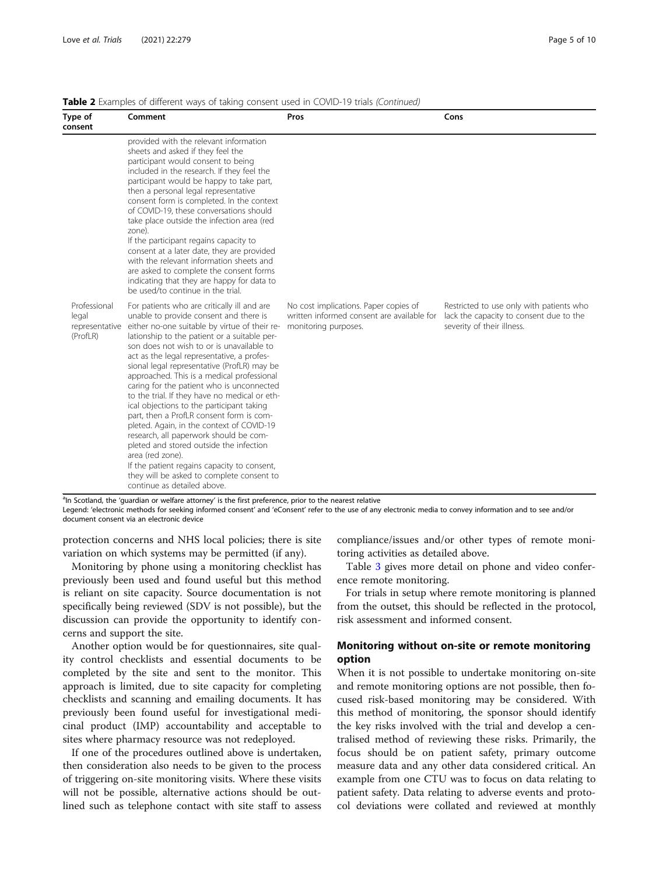| Type of<br>consent                | Comment                                                                                                                                                                                                                                                                                                                                                                                                                                                                                                                                                                                                                                                                                                                                                                                                                                                               | Pros                                                                                                        | Cons                                                                                                              |
|-----------------------------------|-----------------------------------------------------------------------------------------------------------------------------------------------------------------------------------------------------------------------------------------------------------------------------------------------------------------------------------------------------------------------------------------------------------------------------------------------------------------------------------------------------------------------------------------------------------------------------------------------------------------------------------------------------------------------------------------------------------------------------------------------------------------------------------------------------------------------------------------------------------------------|-------------------------------------------------------------------------------------------------------------|-------------------------------------------------------------------------------------------------------------------|
|                                   | provided with the relevant information<br>sheets and asked if they feel the<br>participant would consent to being<br>included in the research. If they feel the<br>participant would be happy to take part,<br>then a personal legal representative<br>consent form is completed. In the context<br>of COVID-19, these conversations should<br>take place outside the infection area (red<br>zone).<br>If the participant regains capacity to<br>consent at a later date, they are provided<br>with the relevant information sheets and<br>are asked to complete the consent forms<br>indicating that they are happy for data to<br>be used/to continue in the trial.                                                                                                                                                                                                 |                                                                                                             |                                                                                                                   |
| Professional<br>legal<br>(ProfLR) | For patients who are critically ill and are<br>unable to provide consent and there is<br>representative either no-one suitable by virtue of their re-<br>lationship to the patient or a suitable per-<br>son does not wish to or is unavailable to<br>act as the legal representative, a profes-<br>sional legal representative (ProfLR) may be<br>approached. This is a medical professional<br>caring for the patient who is unconnected<br>to the trial. If they have no medical or eth-<br>ical objections to the participant taking<br>part, then a ProfLR consent form is com-<br>pleted. Again, in the context of COVID-19<br>research, all paperwork should be com-<br>pleted and stored outside the infection<br>area (red zone).<br>If the patient regains capacity to consent,<br>they will be asked to complete consent to<br>continue as detailed above. | No cost implications. Paper copies of<br>written informed consent are available for<br>monitoring purposes. | Restricted to use only with patients who<br>lack the capacity to consent due to the<br>severity of their illness. |

Table 2 Examples of different ways of taking consent used in COVID-19 trials (Continued)

<sup>a</sup>In Scotland, the 'guardian or welfare attorney' is the first preference, prior to the nearest relative

Legend: 'electronic methods for seeking informed consent' and 'eConsent' refer to the use of any electronic media to convey information and to see and/or document consent via an electronic device

protection concerns and NHS local policies; there is site variation on which systems may be permitted (if any).

Monitoring by phone using a monitoring checklist has previously been used and found useful but this method is reliant on site capacity. Source documentation is not specifically being reviewed (SDV is not possible), but the discussion can provide the opportunity to identify concerns and support the site.

Another option would be for questionnaires, site quality control checklists and essential documents to be completed by the site and sent to the monitor. This approach is limited, due to site capacity for completing checklists and scanning and emailing documents. It has previously been found useful for investigational medicinal product (IMP) accountability and acceptable to sites where pharmacy resource was not redeployed.

If one of the procedures outlined above is undertaken, then consideration also needs to be given to the process of triggering on-site monitoring visits. Where these visits will not be possible, alternative actions should be outlined such as telephone contact with site staff to assess compliance/issues and/or other types of remote monitoring activities as detailed above.

Table [3](#page-5-0) gives more detail on phone and video conference remote monitoring.

For trials in setup where remote monitoring is planned from the outset, this should be reflected in the protocol, risk assessment and informed consent.

# Monitoring without on-site or remote monitoring option

When it is not possible to undertake monitoring on-site and remote monitoring options are not possible, then focused risk-based monitoring may be considered. With this method of monitoring, the sponsor should identify the key risks involved with the trial and develop a centralised method of reviewing these risks. Primarily, the focus should be on patient safety, primary outcome measure data and any other data considered critical. An example from one CTU was to focus on data relating to patient safety. Data relating to adverse events and protocol deviations were collated and reviewed at monthly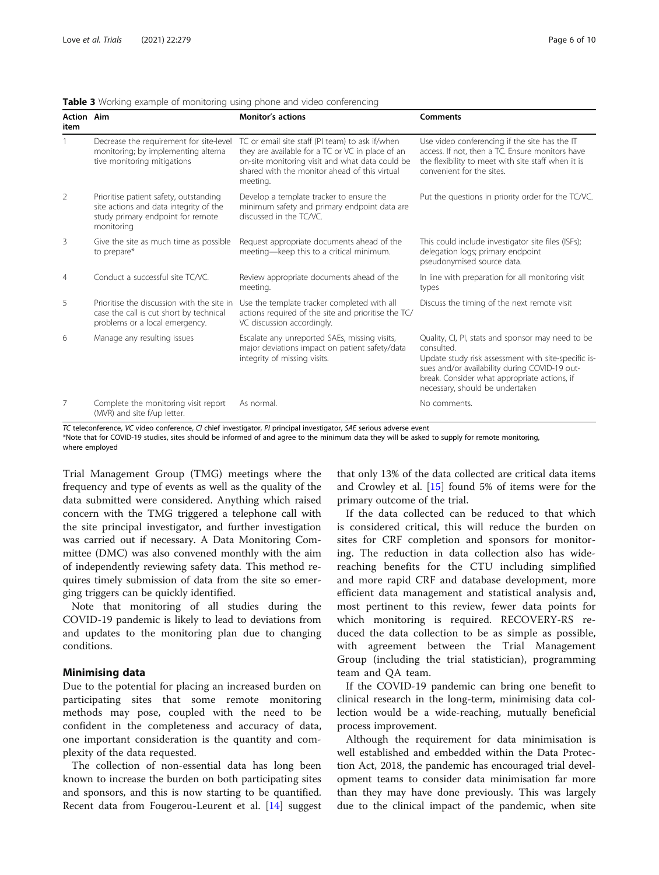<span id="page-5-0"></span>

| <b>Table 3</b> Working example of monitoring using phone and video conferencing |  |  |  |
|---------------------------------------------------------------------------------|--|--|--|
|                                                                                 |  |  |  |

| <b>Action Aim</b><br>item |                                                                                                                                     | <b>Monitor's actions</b>                                                                                                                                                                                            | <b>Comments</b>                                                                                                                                                                                                                                            |
|---------------------------|-------------------------------------------------------------------------------------------------------------------------------------|---------------------------------------------------------------------------------------------------------------------------------------------------------------------------------------------------------------------|------------------------------------------------------------------------------------------------------------------------------------------------------------------------------------------------------------------------------------------------------------|
|                           | Decrease the requirement for site-level<br>monitoring; by implementing alterna<br>tive monitoring mitigations                       | TC or email site staff (PI team) to ask if/when<br>they are available for a TC or VC in place of an<br>on-site monitoring visit and what data could be<br>shared with the monitor ahead of this virtual<br>meeting. | Use video conferencing if the site has the IT<br>access. If not, then a TC. Ensure monitors have<br>the flexibility to meet with site staff when it is<br>convenient for the sites.                                                                        |
| 2                         | Prioritise patient safety, outstanding<br>site actions and data integrity of the<br>study primary endpoint for remote<br>monitoring | Develop a template tracker to ensure the<br>minimum safety and primary endpoint data are<br>discussed in the TC/VC.                                                                                                 | Put the questions in priority order for the TC/VC.                                                                                                                                                                                                         |
| 3                         | Give the site as much time as possible<br>to prepare*                                                                               | Request appropriate documents ahead of the<br>meeting-keep this to a critical minimum.                                                                                                                              | This could include investigator site files (ISFs);<br>delegation logs; primary endpoint<br>pseudonymised source data.                                                                                                                                      |
| $\overline{4}$            | Conduct a successful site TC/VC.                                                                                                    | Review appropriate documents ahead of the<br>meeting.                                                                                                                                                               | In line with preparation for all monitoring visit<br>types                                                                                                                                                                                                 |
| 5                         | Prioritise the discussion with the site in<br>case the call is cut short by technical<br>problems or a local emergency.             | Use the template tracker completed with all<br>actions required of the site and prioritise the TC/<br>VC discussion accordingly.                                                                                    | Discuss the timing of the next remote visit                                                                                                                                                                                                                |
| 6                         | Manage any resulting issues                                                                                                         | Escalate any unreported SAEs, missing visits,<br>major deviations impact on patient safety/data<br>integrity of missing visits.                                                                                     | Quality, CI, PI, stats and sponsor may need to be<br>consulted.<br>Update study risk assessment with site-specific is-<br>sues and/or availability during COVID-19 out-<br>break. Consider what appropriate actions, if<br>necessary, should be undertaken |
| 7                         | Complete the monitoring visit report<br>(MVR) and site f/up letter.                                                                 | As normal.                                                                                                                                                                                                          | No comments.                                                                                                                                                                                                                                               |

TC teleconference, VC video conference, CI chief investigator, PI principal investigator, SAE serious adverse event

\*Note that for COVID-19 studies, sites should be informed of and agree to the minimum data they will be asked to supply for remote monitoring, where employed

Trial Management Group (TMG) meetings where the frequency and type of events as well as the quality of the data submitted were considered. Anything which raised concern with the TMG triggered a telephone call with the site principal investigator, and further investigation was carried out if necessary. A Data Monitoring Committee (DMC) was also convened monthly with the aim of independently reviewing safety data. This method requires timely submission of data from the site so emerging triggers can be quickly identified.

Note that monitoring of all studies during the COVID-19 pandemic is likely to lead to deviations from and updates to the monitoring plan due to changing conditions.

## Minimising data

Due to the potential for placing an increased burden on participating sites that some remote monitoring methods may pose, coupled with the need to be confident in the completeness and accuracy of data, one important consideration is the quantity and complexity of the data requested.

The collection of non-essential data has long been known to increase the burden on both participating sites and sponsors, and this is now starting to be quantified. Recent data from Fougerou-Leurent et al. [\[14\]](#page-8-0) suggest

that only 13% of the data collected are critical data items and Crowley et al. [[15\]](#page-8-0) found 5% of items were for the primary outcome of the trial.

If the data collected can be reduced to that which is considered critical, this will reduce the burden on sites for CRF completion and sponsors for monitoring. The reduction in data collection also has widereaching benefits for the CTU including simplified and more rapid CRF and database development, more efficient data management and statistical analysis and, most pertinent to this review, fewer data points for which monitoring is required. RECOVERY-RS reduced the data collection to be as simple as possible, with agreement between the Trial Management Group (including the trial statistician), programming team and QA team.

If the COVID-19 pandemic can bring one benefit to clinical research in the long-term, minimising data collection would be a wide-reaching, mutually beneficial process improvement.

Although the requirement for data minimisation is well established and embedded within the Data Protection Act, 2018, the pandemic has encouraged trial development teams to consider data minimisation far more than they may have done previously. This was largely due to the clinical impact of the pandemic, when site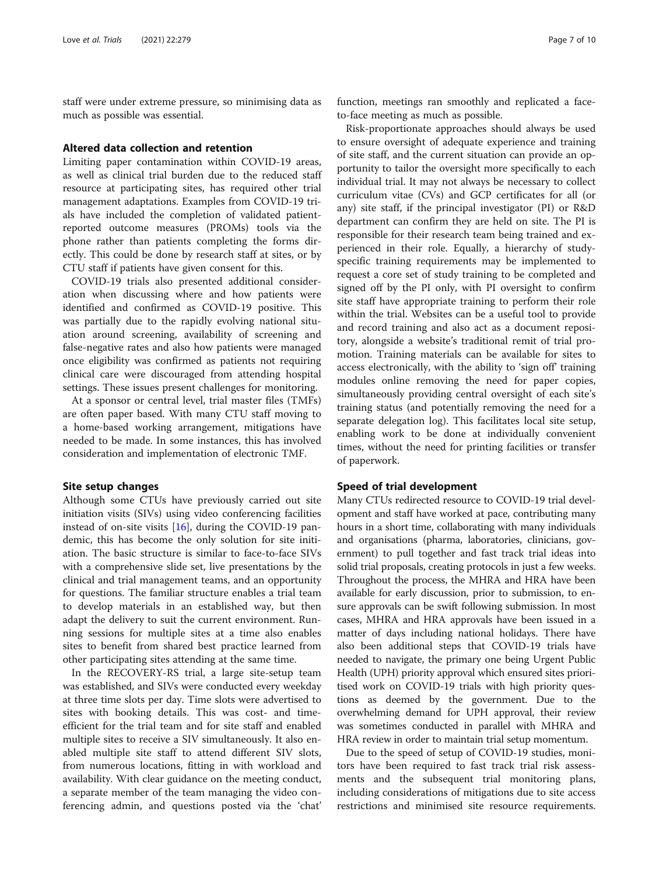staff were under extreme pressure, so minimising data as much as possible was essential.

#### Altered data collection and retention

Limiting paper contamination within COVID-19 areas, as well as clinical trial burden due to the reduced staff resource at participating sites, has required other trial management adaptations. Examples from COVID-19 trials have included the completion of validated patientreported outcome measures (PROMs) tools via the phone rather than patients completing the forms directly. This could be done by research staff at sites, or by CTU staff if patients have given consent for this.

COVID-19 trials also presented additional consideration when discussing where and how patients were identified and confirmed as COVID-19 positive. This was partially due to the rapidly evolving national situation around screening, availability of screening and false-negative rates and also how patients were managed once eligibility was confirmed as patients not requiring clinical care were discouraged from attending hospital settings. These issues present challenges for monitoring.

At a sponsor or central level, trial master files (TMFs) are often paper based. With many CTU staff moving to a home-based working arrangement, mitigations have needed to be made. In some instances, this has involved consideration and implementation of electronic TMF.

#### Site setup changes

Although some CTUs have previously carried out site initiation visits (SIVs) using video conferencing facilities instead of on-site visits  $[16]$  $[16]$  $[16]$ , during the COVID-19 pandemic, this has become the only solution for site initiation. The basic structure is similar to face-to-face SIVs with a comprehensive slide set, live presentations by the clinical and trial management teams, and an opportunity for questions. The familiar structure enables a trial team to develop materials in an established way, but then adapt the delivery to suit the current environment. Running sessions for multiple sites at a time also enables sites to benefit from shared best practice learned from other participating sites attending at the same time.

In the RECOVERY-RS trial, a large site-setup team was established, and SIVs were conducted every weekday at three time slots per day. Time slots were advertised to sites with booking details. This was cost- and timeefficient for the trial team and for site staff and enabled multiple sites to receive a SIV simultaneously. It also enabled multiple site staff to attend different SIV slots, from numerous locations, fitting in with workload and availability. With clear guidance on the meeting conduct, a separate member of the team managing the video conferencing admin, and questions posted via the 'chat' function, meetings ran smoothly and replicated a faceto-face meeting as much as possible.

Risk-proportionate approaches should always be used to ensure oversight of adequate experience and training of site staff, and the current situation can provide an opportunity to tailor the oversight more specifically to each individual trial. It may not always be necessary to collect curriculum vitae (CVs) and GCP certificates for all (or any) site staff, if the principal investigator (PI) or R&D department can confirm they are held on site. The PI is responsible for their research team being trained and experienced in their role. Equally, a hierarchy of studyspecific training requirements may be implemented to request a core set of study training to be completed and signed off by the PI only, with PI oversight to confirm site staff have appropriate training to perform their role within the trial. Websites can be a useful tool to provide and record training and also act as a document repository, alongside a website's traditional remit of trial promotion. Training materials can be available for sites to access electronically, with the ability to 'sign off' training modules online removing the need for paper copies, simultaneously providing central oversight of each site's training status (and potentially removing the need for a separate delegation log). This facilitates local site setup, enabling work to be done at individually convenient times, without the need for printing facilities or transfer of paperwork.

#### Speed of trial development

Many CTUs redirected resource to COVID-19 trial development and staff have worked at pace, contributing many hours in a short time, collaborating with many individuals and organisations (pharma, laboratories, clinicians, government) to pull together and fast track trial ideas into solid trial proposals, creating protocols in just a few weeks. Throughout the process, the MHRA and HRA have been available for early discussion, prior to submission, to ensure approvals can be swift following submission. In most cases, MHRA and HRA approvals have been issued in a matter of days including national holidays. There have also been additional steps that COVID-19 trials have needed to navigate, the primary one being Urgent Public Health (UPH) priority approval which ensured sites prioritised work on COVID-19 trials with high priority questions as deemed by the government. Due to the overwhelming demand for UPH approval, their review was sometimes conducted in parallel with MHRA and HRA review in order to maintain trial setup momentum.

Due to the speed of setup of COVID-19 studies, monitors have been required to fast track trial risk assessments and the subsequent trial monitoring plans, including considerations of mitigations due to site access restrictions and minimised site resource requirements.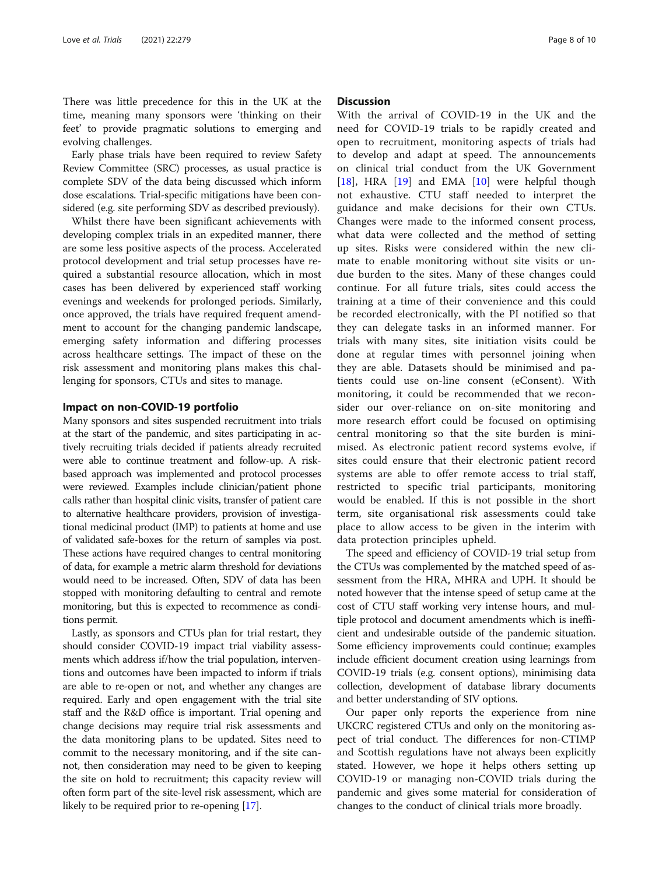There was little precedence for this in the UK at the time, meaning many sponsors were 'thinking on their feet' to provide pragmatic solutions to emerging and evolving challenges.

Early phase trials have been required to review Safety Review Committee (SRC) processes, as usual practice is complete SDV of the data being discussed which inform dose escalations. Trial-specific mitigations have been considered (e.g. site performing SDV as described previously).

Whilst there have been significant achievements with developing complex trials in an expedited manner, there are some less positive aspects of the process. Accelerated protocol development and trial setup processes have required a substantial resource allocation, which in most cases has been delivered by experienced staff working evenings and weekends for prolonged periods. Similarly, once approved, the trials have required frequent amendment to account for the changing pandemic landscape, emerging safety information and differing processes across healthcare settings. The impact of these on the risk assessment and monitoring plans makes this challenging for sponsors, CTUs and sites to manage.

#### Impact on non-COVID-19 portfolio

Many sponsors and sites suspended recruitment into trials at the start of the pandemic, and sites participating in actively recruiting trials decided if patients already recruited were able to continue treatment and follow-up. A riskbased approach was implemented and protocol processes were reviewed. Examples include clinician/patient phone calls rather than hospital clinic visits, transfer of patient care to alternative healthcare providers, provision of investigational medicinal product (IMP) to patients at home and use of validated safe-boxes for the return of samples via post. These actions have required changes to central monitoring of data, for example a metric alarm threshold for deviations would need to be increased. Often, SDV of data has been stopped with monitoring defaulting to central and remote monitoring, but this is expected to recommence as conditions permit.

Lastly, as sponsors and CTUs plan for trial restart, they should consider COVID-19 impact trial viability assessments which address if/how the trial population, interventions and outcomes have been impacted to inform if trials are able to re-open or not, and whether any changes are required. Early and open engagement with the trial site staff and the R&D office is important. Trial opening and change decisions may require trial risk assessments and the data monitoring plans to be updated. Sites need to commit to the necessary monitoring, and if the site cannot, then consideration may need to be given to keeping the site on hold to recruitment; this capacity review will often form part of the site-level risk assessment, which are likely to be required prior to re-opening [[17](#page-9-0)].

# **Discussion**

With the arrival of COVID-19 in the UK and the need for COVID-19 trials to be rapidly created and open to recruitment, monitoring aspects of trials had to develop and adapt at speed. The announcements on clinical trial conduct from the UK Government [[18\]](#page-9-0), HRA [\[19](#page-9-0)] and EMA [[10](#page-8-0)] were helpful though not exhaustive. CTU staff needed to interpret the guidance and make decisions for their own CTUs. Changes were made to the informed consent process, what data were collected and the method of setting up sites. Risks were considered within the new climate to enable monitoring without site visits or undue burden to the sites. Many of these changes could continue. For all future trials, sites could access the training at a time of their convenience and this could be recorded electronically, with the PI notified so that they can delegate tasks in an informed manner. For trials with many sites, site initiation visits could be done at regular times with personnel joining when they are able. Datasets should be minimised and patients could use on-line consent (eConsent). With monitoring, it could be recommended that we reconsider our over-reliance on on-site monitoring and more research effort could be focused on optimising central monitoring so that the site burden is minimised. As electronic patient record systems evolve, if sites could ensure that their electronic patient record systems are able to offer remote access to trial staff, restricted to specific trial participants, monitoring would be enabled. If this is not possible in the short term, site organisational risk assessments could take place to allow access to be given in the interim with data protection principles upheld.

The speed and efficiency of COVID-19 trial setup from the CTUs was complemented by the matched speed of assessment from the HRA, MHRA and UPH. It should be noted however that the intense speed of setup came at the cost of CTU staff working very intense hours, and multiple protocol and document amendments which is inefficient and undesirable outside of the pandemic situation. Some efficiency improvements could continue; examples include efficient document creation using learnings from COVID-19 trials (e.g. consent options), minimising data collection, development of database library documents and better understanding of SIV options.

Our paper only reports the experience from nine UKCRC registered CTUs and only on the monitoring aspect of trial conduct. The differences for non-CTIMP and Scottish regulations have not always been explicitly stated. However, we hope it helps others setting up COVID-19 or managing non-COVID trials during the pandemic and gives some material for consideration of changes to the conduct of clinical trials more broadly.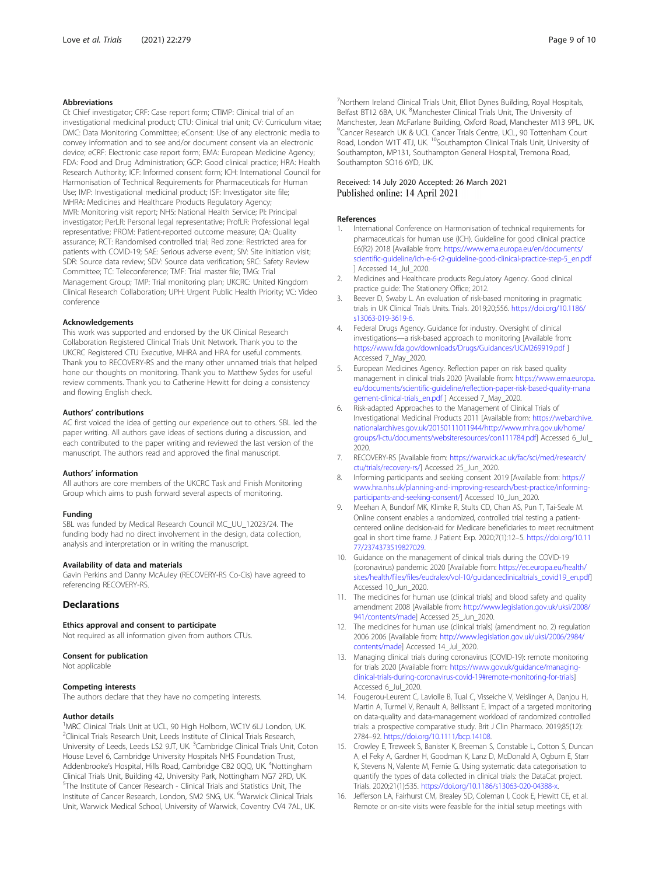#### <span id="page-8-0"></span>Abbreviations

CI: Chief investigator; CRF: Case report form; CTIMP: Clinical trial of an investigational medicinal product; CTU: Clinical trial unit; CV: Curriculum vitae; DMC: Data Monitoring Committee; eConsent: Use of any electronic media to convey information and to see and/or document consent via an electronic device; eCRF: Electronic case report form; EMA: European Medicine Agency; FDA: Food and Drug Administration; GCP: Good clinical practice; HRA: Health Research Authority; ICF: Informed consent form; ICH: International Council for Harmonisation of Technical Requirements for Pharmaceuticals for Human Use; IMP: Investigational medicinal product; ISF: Investigator site file; MHRA: Medicines and Healthcare Products Regulatory Agency; MVR: Monitoring visit report; NHS: National Health Service; PI: Principal investigator; PerLR: Personal legal representative; ProfLR: Professional legal representative; PROM: Patient-reported outcome measure; QA: Quality assurance; RCT: Randomised controlled trial; Red zone: Restricted area for patients with COVID-19; SAE: Serious adverse event; SIV: Site initiation visit; SDR: Source data review; SDV: Source data verification; SRC: Safety Review Committee; TC: Teleconference; TMF: Trial master file; TMG: Trial Management Group; TMP: Trial monitoring plan; UKCRC: United Kingdom Clinical Research Collaboration; UPH: Urgent Public Health Priority; VC: Video conference

#### Acknowledgements

This work was supported and endorsed by the UK Clinical Research Collaboration Registered Clinical Trials Unit Network. Thank you to the UKCRC Registered CTU Executive, MHRA and HRA for useful comments. Thank you to RECOVERY-RS and the many other unnamed trials that helped hone our thoughts on monitoring. Thank you to Matthew Sydes for useful review comments. Thank you to Catherine Hewitt for doing a consistency and flowing English check.

#### Authors' contributions

AC first voiced the idea of getting our experience out to others. SBL led the paper writing. All authors gave ideas of sections during a discussion, and each contributed to the paper writing and reviewed the last version of the manuscript. The authors read and approved the final manuscript.

#### Authors' information

All authors are core members of the UKCRC Task and Finish Monitoring Group which aims to push forward several aspects of monitoring.

#### Funding

SBL was funded by Medical Research Council MC\_UU\_12023/24. The funding body had no direct involvement in the design, data collection, analysis and interpretation or in writing the manuscript.

#### Availability of data and materials

Gavin Perkins and Danny McAuley (RECOVERY-RS Co-Cis) have agreed to referencing RECOVERY-RS.

# **Declarations**

#### Ethics approval and consent to participate

Not required as all information given from authors CTUs.

#### Consent for publication

Not applicable

#### Competing interests

The authors declare that they have no competing interests.

#### Author details

<sup>1</sup>MRC Clinical Trials Unit at UCL, 90 High Holborn, WC1V 6LJ London, UK. <sup>2</sup>Clinical Trials Research Unit, Leeds Institute of Clinical Trials Research, University of Leeds, Leeds LS2 9JT, UK. <sup>3</sup>Cambridge Clinical Trials Unit, Coton House Level 6, Cambridge University Hospitals NHS Foundation Trust, Addenbrooke's Hospital, Hills Road, Cambridge CB2 0QQ, UK. <sup>4</sup>Nottingham Clinical Trials Unit, Building 42, University Park, Nottingham NG7 2RD, UK. 5 The Institute of Cancer Research - Clinical Trials and Statistics Unit, The Institute of Cancer Research, London, SM2 5NG, UK. <sup>6</sup>Warwick Clinical Trials Unit, Warwick Medical School, University of Warwick, Coventry CV4 7AL, UK.

<sup>7</sup>Northern Ireland Clinical Trials Unit, Elliot Dynes Building, Royal Hospitals, Belfast BT12 6BA, UK. <sup>8</sup>Manchester Clinical Trials Unit, The University of Manchester, Jean McFarlane Building, Oxford Road, Manchester M13 9PL, UK. <sup>9</sup> Cancer Research UK & UCL Cancer Trials Centre, UCL, 90 Tottenham Court Road, London W1T 4TJ, UK. <sup>10</sup>Southampton Clinical Trials Unit, University of Southampton, MP131, Southampton General Hospital, Tremona Road, Southampton SO16 6YD, UK.

#### Received: 14 July 2020 Accepted: 26 March 2021 Published online: 14 April 2021

#### References

- 1. International Conference on Harmonisation of technical requirements for pharmaceuticals for human use (ICH). Guideline for good clinical practice E6(R2) 2018 [Available from: [https://www.ema.europa.eu/en/documents/](https://www.ema.europa.eu/en/documents/scientific-guideline/ich-e-6-r2-guideline-good-clinical-practice-step-5_en.pdf) [scientific-guideline/ich-e-6-r2-guideline-good-clinical-practice-step-5\\_en.pdf](https://www.ema.europa.eu/en/documents/scientific-guideline/ich-e-6-r2-guideline-good-clinical-practice-step-5_en.pdf) ] Accessed 14\_Jul\_2020.
- 2. Medicines and Healthcare products Regulatory Agency. Good clinical practice guide: The Stationery Office; 2012.
- 3. Beever D, Swaby L. An evaluation of risk-based monitoring in pragmatic trials in UK Clinical Trials Units. Trials. 2019;20;556. [https://doi.org/10.1186/](https://doi.org/10.1186/s13063-019-3619-6) [s13063-019-3619-6.](https://doi.org/10.1186/s13063-019-3619-6)
- 4. Federal Drugs Agency. Guidance for industry. Oversight of clinical investigations—a risk-based approach to monitoring [Available from: <https://www.fda.gov/downloads/Drugs/Guidances/UCM269919.pdf> ] Accessed 7\_May\_2020.
- 5. European Medicines Agency. Reflection paper on risk based quality management in clinical trials 2020 [Available from: [https://www.ema.europa.](https://www.ema.europa.eu/documents/scientific-guideline/reflection-paper-risk-based-quality-management-clinical-trials_en.pdf) [eu/documents/scientific-guideline/reflection-paper-risk-based-quality-mana](https://www.ema.europa.eu/documents/scientific-guideline/reflection-paper-risk-based-quality-management-clinical-trials_en.pdf) [gement-clinical-trials\\_en.pdf](https://www.ema.europa.eu/documents/scientific-guideline/reflection-paper-risk-based-quality-management-clinical-trials_en.pdf) ] Accessed 7\_May\_2020.
- 6. Risk-adapted Approaches to the Management of Clinical Trials of Investigational Medicinal Products 2011 [Available from: [https://webarchive.](https://webarchive.nationalarchives.gov.uk/20150111011944/http://www.mhra.gov.uk/home/groups/l-ctu/documents/websiteresources/con111784.pdf) [nationalarchives.gov.uk/20150111011944/http://www.mhra.gov.uk/home/](https://webarchive.nationalarchives.gov.uk/20150111011944/http://www.mhra.gov.uk/home/groups/l-ctu/documents/websiteresources/con111784.pdf) [groups/l-ctu/documents/websiteresources/con111784.pdf\]](https://webarchive.nationalarchives.gov.uk/20150111011944/http://www.mhra.gov.uk/home/groups/l-ctu/documents/websiteresources/con111784.pdf) Accessed 6\_Jul\_ 2020.
- 7. RECOVERY-RS [Available from: [https://warwick.ac.uk/fac/sci/med/research/](https://warwick.ac.uk/fac/sci/med/research/ctu/trials/recovery-rs/) [ctu/trials/recovery-rs/\]](https://warwick.ac.uk/fac/sci/med/research/ctu/trials/recovery-rs/) Accessed 25\_Jun\_2020.
- 8. Informing participants and seeking consent 2019 [Available from: [https://](https://www.hra.nhs.uk/planning-and-improving-research/best-practice/informing-participants-and-seeking-consent/) [www.hra.nhs.uk/planning-and-improving-research/best-practice/informing](https://www.hra.nhs.uk/planning-and-improving-research/best-practice/informing-participants-and-seeking-consent/)[participants-and-seeking-consent/](https://www.hra.nhs.uk/planning-and-improving-research/best-practice/informing-participants-and-seeking-consent/)] Accessed 10\_Jun\_2020.
- Meehan A, Bundorf MK, Klimke R, Stults CD, Chan AS, Pun T, Tai-Seale M. Online consent enables a randomized, controlled trial testing a patientcentered online decision-aid for Medicare beneficiaries to meet recruitment goal in short time frame. J Patient Exp. 2020;7(1):12–5. [https://doi.org/10.11](https://doi.org/10.1177/2374373519827029) [77/2374373519827029.](https://doi.org/10.1177/2374373519827029)
- 10. Guidance on the management of clinical trials during the COVID-19 (coronavirus) pandemic 2020 [Available from: [https://ec.europa.eu/health/](https://ec.europa.eu/health/sites/health/files/files/eudralex/vol-10/guidanceclinicaltrials_covid19_en.pdf) [sites/health/files/files/eudralex/vol-10/guidanceclinicaltrials\\_covid19\\_en.pdf\]](https://ec.europa.eu/health/sites/health/files/files/eudralex/vol-10/guidanceclinicaltrials_covid19_en.pdf) Accessed 10\_Jun\_2020.
- 11. The medicines for human use (clinical trials) and blood safety and quality amendment 2008 [Available from: [http://www.legislation.gov.uk/uksi/2008/](http://www.legislation.gov.uk/uksi/2008/941/contents/made) [941/contents/made\]](http://www.legislation.gov.uk/uksi/2008/941/contents/made) Accessed 25\_Jun\_2020.
- 12. The medicines for human use (clinical trials) (amendment no. 2) regulation 2006 2006 [Available from: [http://www.legislation.gov.uk/uksi/2006/2984/](http://www.legislation.gov.uk/uksi/2006/2984/contents/made) [contents/made](http://www.legislation.gov.uk/uksi/2006/2984/contents/made)] Accessed 14\_Jul\_2020.
- 13. Managing clinical trials during coronavirus (COVID-19): remote monitoring for trials 2020 [Available from: [https://www.gov.uk/guidance/managing](https://www.gov.uk/guidance/managing-clinical-trials-during-coronavirus-covid-19#remote-monitoring-for-trials)[clinical-trials-during-coronavirus-covid-19#remote-monitoring-for-trials\]](https://www.gov.uk/guidance/managing-clinical-trials-during-coronavirus-covid-19#remote-monitoring-for-trials) Accessed 6\_Jul\_2020.
- 14. Fougerou-Leurent C, Laviolle B, Tual C, Visseiche V, Veislinger A, Danjou H, Martin A, Turmel V, Renault A, Bellissant E. Impact of a targeted monitoring on data-quality and data-management workload of randomized controlled trials: a prospective comparative study. Brit J Clin Pharmaco. 2019;85(12): 2784–92. <https://doi.org/10.1111/bcp.14108>.
- 15. Crowley E, Treweek S, Banister K, Breeman S, Constable L, Cotton S, Duncan A, el Feky A, Gardner H, Goodman K, Lanz D, McDonald A, Ogburn E, Starr K, Stevens N, Valente M, Fernie G. Using systematic data categorisation to quantify the types of data collected in clinical trials: the DataCat project. Trials. 2020;21(1):535. <https://doi.org/10.1186/s13063-020-04388-x>.
- 16. Jefferson LA, Fairhurst CM, Brealey SD, Coleman I, Cook E, Hewitt CE, et al. Remote or on-site visits were feasible for the initial setup meetings with